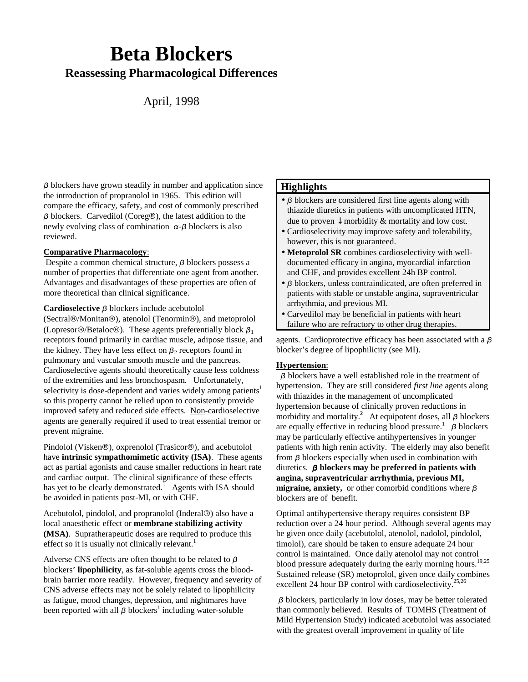# **Beta Blockers Reassessing Pharmacological Differences**

## April, 1998

 $\beta$  blockers have grown steadily in number and application since the introduction of propranolol in 1965. This edition will compare the efficacy, safety, and cost of commonly prescribed  $\beta$  blockers. Carvedilol (Coreg®), the latest addition to the newly evolving class of combination  $\alpha$ - $\beta$  blockers is also reviewed.

#### **Comparative Pharmacology**:

Despite a common chemical structure,  $\beta$  blockers possess a number of properties that differentiate one agent from another. Advantages and disadvantages of these properties are often of more theoretical than clinical significance.

Cardioselective  $\beta$  blockers include acebutolol

(Sectral®/Monitan®), atenolol (Tenormin®), and metoprolol (Lopresor®/Betaloc®). These agents preferentially block  $\beta_1$ receptors found primarily in cardiac muscle, adipose tissue, and the kidney. They have less effect on  $\beta_2$  receptors found in pulmonary and vascular smooth muscle and the pancreas. Cardioselective agents should theoretically cause less coldness of the extremities and less bronchospasm. Unfortunately, selectivity is dose-dependent and varies widely among patients<sup>1</sup> so this property cannot be relied upon to consistently provide improved safety and reduced side effects. Non-cardioselective agents are generally required if used to treat essential tremor or prevent migraine.

Pindolol (Visken®), oxprenolol (Trasicor®), and acebutolol have **intrinsic sympathomimetic activity (ISA)**. These agents act as partial agonists and cause smaller reductions in heart rate and cardiac output. The clinical significance of these effects has yet to be clearly demonstrated.<sup>1</sup> Agents with ISA should be avoided in patients post-MI, or with CHF.

Acebutolol, pindolol, and propranolol (Inderal $\circledR$ ) also have a local anaesthetic effect or **membrane stabilizing activity (MSA)**. Supratherapeutic doses are required to produce this effect so it is usually not clinically relevant.<sup>1</sup>

Adverse CNS effects are often thought to be related to  $\beta$ blockers' **lipophilicity**, as fat-soluble agents cross the bloodbrain barrier more readily. However, frequency and severity of CNS adverse effects may not be solely related to lipophilicity as fatigue, mood changes, depression, and nightmares have been reported with all  $\beta$  blockers<sup>1</sup> including water-soluble

### **Highlights**

- $\bullet$   $\beta$  blockers are considered first line agents along with thiazide diuretics in patients with uncomplicated HTN, due to proven  $\downarrow$  morbidity & mortality and low cost.
- Cardioselectivity may improve safety and tolerability, however, this is not guaranteed.
- **Metoprolol SR** combines cardioselectivity with welldocumented efficacy in angina, myocardial infarction and CHF, and provides excellent 24h BP control.
- $\bullet$   $\beta$  blockers, unless contraindicated, are often preferred in patients with stable or unstable angina, supraventricular arrhythmia, and previous MI.
- Carvedilol may be beneficial in patients with heart failure who are refractory to other drug therapies.

agents. Cardioprotective efficacy has been associated with a  $\beta$ blocker's degree of lipophilicity (see MI).

### **Hypertension**:

 $\beta$  blockers have a well established role in the treatment of hypertension. They are still considered *first line* agents along with thiazides in the management of uncomplicated hypertension because of clinically proven reductions in morbidity and mortality.<sup>2</sup> At equipotent doses, all  $\beta$  blockers are equally effective in reducing blood pressure.<sup>1</sup>  $\beta$  blockers may be particularly effective antihypertensives in younger patients with high renin activity. The elderly may also benefit from  $\beta$  blockers especially when used in combination with diuretics.  **blockers may be preferred in patients with angina, supraventricular arrhythmia, previous MI,** migraine, anxiety, or other comorbid conditions where  $\beta$ blockers are of benefit.

Optimal antihypertensive therapy requires consistent BP reduction over a 24 hour period. Although several agents may be given once daily (acebutolol, atenolol, nadolol, pindolol, timolol), care should be taken to ensure adequate 24 hour control is maintained. Once daily atenolol may not control blood pressure adequately during the early morning hours.<sup>19,25</sup> Sustained release (SR) metoprolol, given once daily combines excellent 24 hour BP control with cardioselectivity.<sup>25,26</sup>

 $\beta$  blockers, particularly in low doses, may be better tolerated than commonly believed. Results of TOMHS (Treatment of Mild Hypertension Study) indicated acebutolol was associated with the greatest overall improvement in quality of life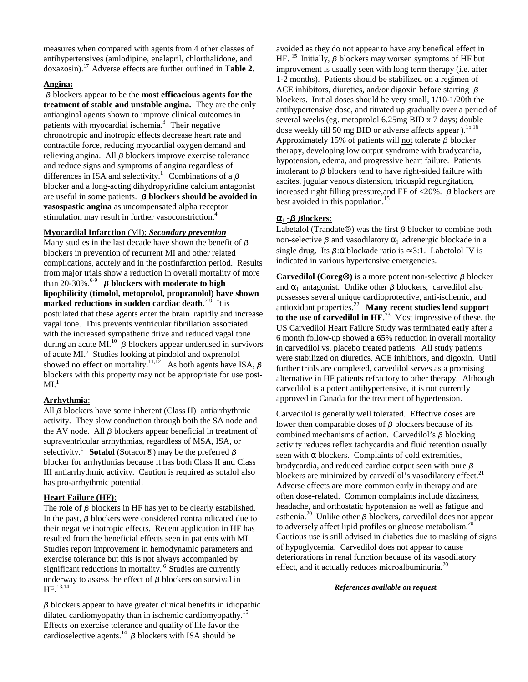measures when compared with agents from 4 other classes of antihypertensives (amlodipine, enalapril, chlorthalidone, and doxazosin).17 Adverse effects are further outlined in **Table 2**.

### **Angina:**

 blockers appear to be the **most efficacious agents for the treatment of stable and unstable angina.** They are the only antianginal agents shown to improve clinical outcomes in patients with myocardial ischemia.<sup>3</sup> Their negative chronotropic and inotropic effects decrease heart rate and contractile force, reducing myocardial oxygen demand and relieving angina. All  $\beta$  blockers improve exercise tolerance and reduce signs and symptoms of angina regardless of differences in ISA and selectivity.<sup>1</sup> Combinations of a  $\beta$ blocker and a long-acting dihydropyridine calcium antagonist are useful in some patients.  $\beta$  **blockers should be avoided in vasospastic angina** as uncompensated alpha receptor stimulation may result in further vasoconstriction.<sup>4</sup>

### **Myocardial Infarction** (MI): *Secondary prevention*

Many studies in the last decade have shown the benefit of  $\beta$ blockers in prevention of recurrent MI and other related complications, acutely and in the postinfarction period. Results from major trials show a reduction in overall mortality of more than 20-30%.<sup>6-9</sup> *β* **blockers with moderate to high lipophilicity (timolol, metoprolol, propranolol) have shown marked reductions in sudden cardiac death**. 7-9 It is postulated that these agents enter the brain rapidly and increase vagal tone. This prevents ventricular fibrillation associated with the increased sympathetic drive and reduced vagal tone during an acute MI.<sup>10</sup>  $\beta$  blockers appear underused in survivors of acute MI.<sup>5</sup> Studies looking at pindolol and oxprenolol showed no effect on mortality.<sup>11,12</sup> As both agents have ISA,  $\beta$ blockers with this property may not be appropriate for use post- $ML<sup>1</sup>$ 

### **Arrhythmia**:

All  $\beta$  blockers have some inherent (Class II) antiarrhythmic activity. They slow conduction through both the SA node and the AV node. All  $\beta$  blockers appear beneficial in treatment of supraventricular arrhythmias, regardless of MSA, ISA, or selectivity.<sup>1</sup> **Sotalol** (Sotacor<sup>®</sup>) may be the preferred  $\beta$ blocker for arrhythmias because it has both Class II and Class III antiarrhythmic activity. Caution is required as sotalol also has pro-arrhythmic potential.

### **Heart Failure (HF)**:

The role of  $\beta$  blockers in HF has yet to be clearly established. In the past,  $\beta$  blockers were considered contraindicated due to their negative inotropic effects. Recent application in HF has resulted from the beneficial effects seen in patients with MI. Studies report improvement in hemodynamic parameters and exercise tolerance but this is not always accompanied by significant reductions in mortality.<sup>6</sup> Studies are currently underway to assess the effect of  $\beta$  blockers on survival in HF.13,14

 $\beta$  blockers appear to have greater clinical benefits in idiopathic dilated cardiomyopathy than in ischemic cardiomyopathy.<sup>15</sup> Effects on exercise tolerance and quality of life favor the cardioselective agents.<sup>14</sup>  $\beta$  blockers with ISA should be

avoided as they do not appear to have any benefical effect in HF. <sup>15</sup> Initially,  $\beta$  blockers may worsen symptoms of HF but improvement is usually seen with long term therapy (i.e. after 1-2 months). Patients should be stabilized on a regimen of ACE inhibitors, diuretics, and/or digoxin before starting  $\beta$ blockers. Initial doses should be very small, 1/10-1/20th the antihypertensive dose, and titrated up gradually over a period of several weeks (eg. metoprolol 6.25mg BID x 7 days; double dose weekly till 50 mg BID or adverse affects appear).<sup>15,16</sup> Approximately 15% of patients will not tolerate  $\beta$  blocker therapy, developing low output syndrome with bradycardia, hypotension, edema, and progressive heart failure. Patients intolerant to  $\beta$  blockers tend to have right-sided failure with ascites, jugular venous distension, tricuspid regurgitation, increased right filling pressure, and EF of <20%.  $\beta$  blockers are best avoided in this population.<sup>15</sup>

### $\alpha_1$  -  $\beta$   $\beta$  lockers:

Labetalol (Trandate®) was the first  $\beta$  blocker to combine both non-selective  $\beta$  and vasodilatory  $\alpha_1$  adrenergic blockade in a single drug. Its  $\beta$ : $\alpha$  blockade ratio is ≈ 3:1. Labetolol IV is indicated in various hypertensive emergencies.

**Carvedilol (Coreg®)** is a more potent non-selective  $\beta$  blocker and  $\alpha_1$  antagonist. Unlike other  $\beta$  blockers, carvedilol also possesses several unique cardioprotective, anti-ischemic, and antioxidant properties.<sup>22</sup>**Many recent studies lend support to the use of carvedilol in HF**. 23 Most impressive of these, the US Carvedilol Heart Failure Study was terminated early after a 6 month follow-up showed a 65% reduction in overall mortality in carvedilol vs. placebo treated patients. All study patients were stabilized on diuretics, ACE inhibitors, and digoxin. Until further trials are completed, carvedilol serves as a promising alternative in HF patients refractory to other therapy. Although carvedilol is a potent antihypertensive, it is not currently approved in Canada for the treatment of hypertension.

Carvedilol is generally well tolerated. Effective doses are lower then comparable doses of  $\beta$  blockers because of its combined mechanisms of action. Carvedilol's  $\beta$  blocking activity reduces reflex tachycardia and fluid retention usually seen with  $\alpha$  blockers. Complaints of cold extremities, bradycardia, and reduced cardiac output seen with pure  $\beta$ blockers are minimized by carvedilol's vasodilatory effect. $21$ Adverse effects are more common early in therapy and are often dose-related. Common complaints include dizziness, headache, and orthostatic hypotension as well as fatigue and asthenia.<sup>20</sup> Unlike other  $\beta$  blockers, carvedilol does not appear to adversely affect lipid profiles or glucose metabolism. $^{20}$ Cautious use is still advised in diabetics due to masking of signs of hypoglycemia. Carvedilol does not appear to cause deteriorations in renal function because of its vasodilatory effect, and it actually reduces microalbuminuria. $^{20}$ 

*References available on request.*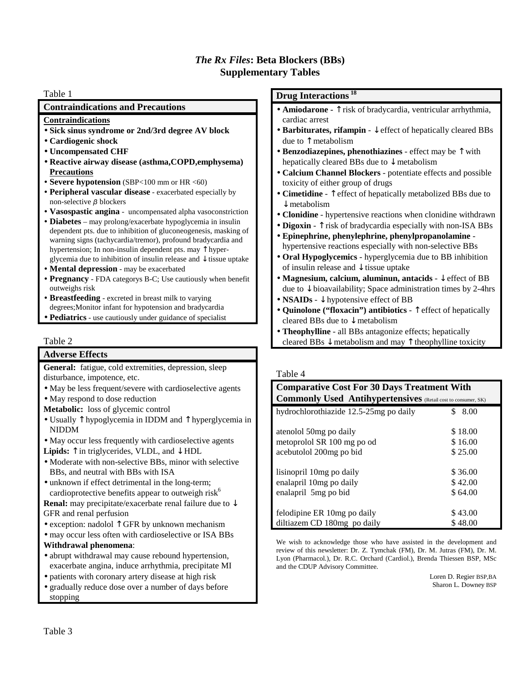### *The Rx Files***: Beta Blockers (BBs) Supplementary Tables**

### Table 1

### **Contraindications and Precautions**

#### **Contraindications**

- **Sick sinus syndrome or 2nd/3rd degree AV block**
- **Cardiogenic shock**
- **Uncompensated CHF**
- **Reactive airway disease (asthma,COPD,emphysema) Precautions**
- **Severe hypotension** (SBP<100 mm or HR <60)
- **Peripheral vascular disease** exacerbated especially by non-selective  $\beta$  blockers
- **Vasospastic angina** uncompensated alpha vasoconstriction
- **Diabetes** may prolong/exacerbate hypoglycemia in insulin dependent pts. due to inhibition of gluconeogenesis, masking of warning signs (tachycardia/tremor), profound bradycardia and hypertension; In non-insulin dependent pts. may ↑ hyperglycemia due to inhibition of insulin release and  $\downarrow$  tissue uptake
- **Mental depression** may be exacerbated
- **Pregnancy** FDA categorys B-C; Use cautiously when benefit outweighs risk
- **Breastfeeding** excreted in breast milk to varying degrees;Monitor infant for hypotension and bradycardia
- **Pediatrics** use cautiously under guidance of specialist

### Table 2

### **Adverse Effects**

**General:** fatigue, cold extremities, depression, sleep disturbance, impotence, etc.

- May be less frequent/severe with cardioselective agents
- May respond to dose reduction
- **Metabolic:** loss of glycemic control
- Usually ↑ hypoglycemia in IDDM and ↑ hyperglycemia in NIDDM
- May occur less frequently with cardioselective agents
- **Lipids:** ↑ in triglycerides, VLDL, and ↓ HDL
- Moderate with non-selective BBs, minor with selective BBs, and neutral with BBs with ISA
- unknown if effect detrimental in the long-term; cardioprotective benefits appear to outweigh risk<sup>6</sup>

**Renal:** may precipitate/exacerbate renal failure due to ↓ GFR and renal perfusion

- exception: nadolol  $\uparrow$  GFR by unknown mechanism
- may occur less often with cardioselective or ISA BBs **Withdrawal phenomena**:
- abrupt withdrawal may cause rebound hypertension, exacerbate angina, induce arrhythmia, precipitate MI
- patients with coronary artery disease at high risk
- gradually reduce dose over a number of days before stopping

### **Drug Interactions<sup>18</sup>**

- **Amiodarone** ↑ risk of bradycardia, ventricular arrhythmia, cardiac arrest
- **Barbiturates, rifampin** ↓ effect of hepatically cleared BBs due to ↑ metabolism
- **Benzodiazepines, phenothiazines** effect may be ↑ with hepatically cleared BBs due to  $\downarrow$  metabolism
- **Calcium Channel Blockers** potentiate effects and possible toxicity of either group of drugs
- **Cimetidine**  ↑ effect of hepatically metabolized BBs due to ↓ metabolism
- **Clonidine** hypertensive reactions when clonidine withdrawn
- **Digoxin**  $\uparrow$  risk of bradycardia especially with non-ISA BBs
- **Epinephrine, phenylephrine, phenylpropanolamine** hypertensive reactions especially with non-selective BBs
- **Oral Hypoglycemics** hyperglycemia due to BB inhibition of insulin release and ↓ tissue uptake
- **Magnesium, calcium, aluminun, antacids** ↓ effect of BB due to  $\downarrow$  bioavailability; Space administration times by 2-4hrs
- **NSAIDs** ↓ hypotensive effect of BB
- **Quinolone ("floxacin") antibiotics** ↑ effect of hepatically cleared BBs due to ↓ metabolism
- **Theophylline** all BBs antagonize effects; hepatically cleared BBs  $\downarrow$  metabolism and may  $\uparrow$  theophylline toxicity

### Table 4

| <b>Comparative Cost For 30 Days Treatment With</b><br><b>Commonly Used Antihypertensives</b> (Retail cost to consumer, SK) |             |
|----------------------------------------------------------------------------------------------------------------------------|-------------|
| hydrochlorothiazide 12.5-25mg po daily                                                                                     | \$.<br>8.00 |
| atenolol 50mg po daily                                                                                                     | \$18.00     |
| metoprolol SR 100 mg po od                                                                                                 | \$16.00     |
| acebutolol 200mg po bid                                                                                                    | \$25.00     |
| lisinopril 10mg po daily                                                                                                   | \$36.00     |
| enalapril 10mg po daily                                                                                                    | \$42.00     |
| enalapril 5mg po bid                                                                                                       | \$64.00     |
| felodipine ER 10mg po daily                                                                                                | \$43.00     |
| diltiazem CD 180mg po daily                                                                                                | \$48.00     |

We wish to acknowledge those who have assisted in the development and review of this newsletter: Dr. Z. Tymchak (FM), Dr. M. Jutras (FM), Dr. M. Lyon (Pharmacol.), Dr. R.C. Orchard (Cardiol.), Brenda Thiessen BSP, MSc and the CDUP Advisory Committee.

> Loren D. Regier BSP,BA Sharon L. Downey BSP